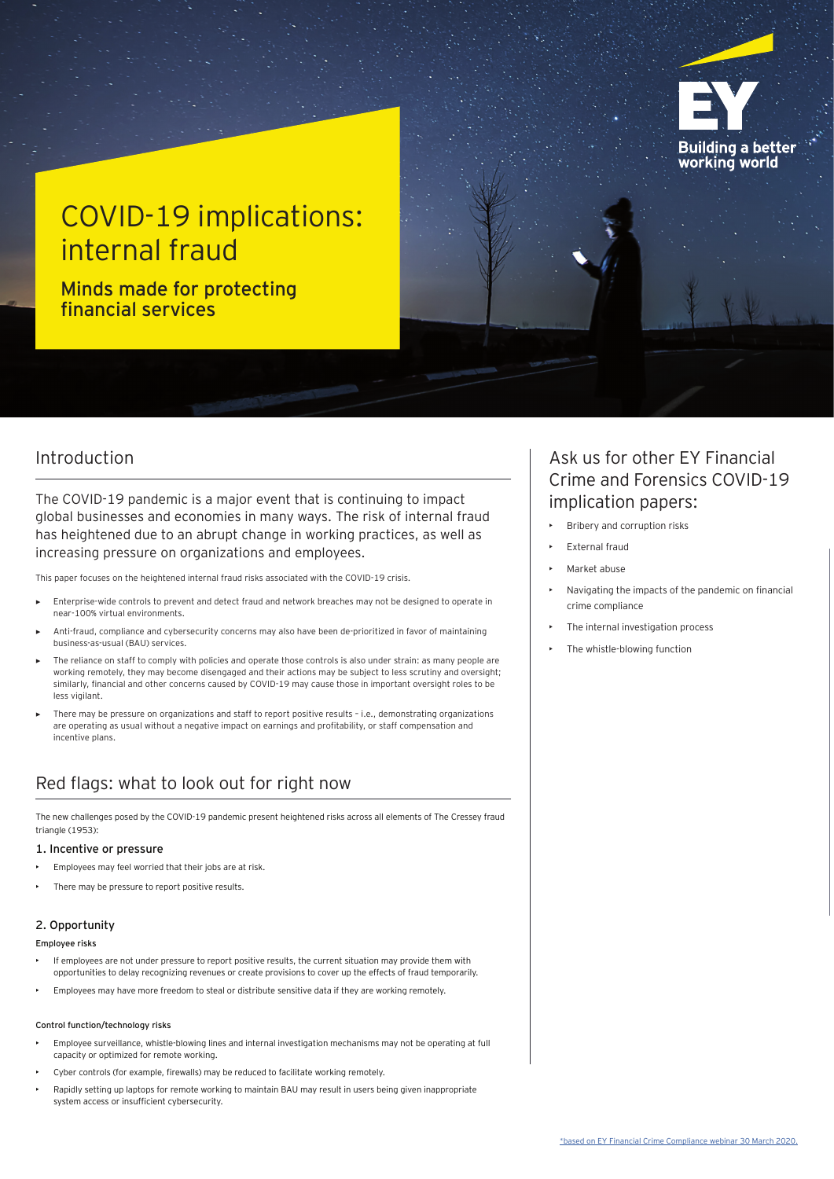

# COVID-19 implications: internal fraud

Minds made for protecting financial services

### Introduction

- Employees may feel worried that their jobs are at risk.
- There may be pressure to report positive results.

The new challenges posed by the COVID-19 pandemic present heightened risks across all elements of The Cressey fraud triangle (1953):

#### 1. Incentive or pressure

### 2. Opportunity

#### Employee risks

- If employees are not under pressure to report positive results, the current situation may provide them with opportunities to delay recognizing revenues or create provisions to cover up the effects of fraud temporarily.
- Employees may have more freedom to steal or distribute sensitive data if they are working remotely.

#### Control function/technology risks

- Employee surveillance, whistle-blowing lines and internal investigation mechanisms may not be operating at full capacity or optimized for remote working.
- Cyber controls (for example, firewalls) may be reduced to facilitate working remotely.
- Rapidly setting up laptops for remote working to maintain BAU may result in users being given inappropriate system access or insufficient cybersecurity.

## Red flags: what to look out for right now

- Enterprise-wide controls to prevent and detect fraud and network breaches may not be designed to operate in near-100% virtual environments.
- Anti-fraud, compliance and cybersecurity concerns may also have been de-prioritized in favor of maintaining business-as-usual (BAU) services.
- The reliance on staff to comply with policies and operate those controls is also under strain: as many people are working remotely, they may become disengaged and their actions may be subject to less scrutiny and oversight; similarly, financial and other concerns caused by COVID-19 may cause those in important oversight roles to be less vigilant.
- There may be pressure on organizations and staff to report positive results i.e., demonstrating organizations are operating as usual without a negative impact on earnings and profitability, or staff compensation and incentive plans.
- Bribery and corruption risks
- External fraud
- Market abuse
- Navigating the impacts of the pandemic on financial crime compliance
- The internal investigation process
- The whistle-blowing function

The COVID-19 pandemic is a major event that is continuing to impact global businesses and economies in many ways. The risk of internal fraud has heightened due to an abrupt change in working practices, as well as increasing pressure on organizations and employees.

This paper focuses on the heightened internal fraud risks associated with the COVID-19 crisis.

### Ask us for other EY Financial Crime and Forensics COVID-19 implication papers: